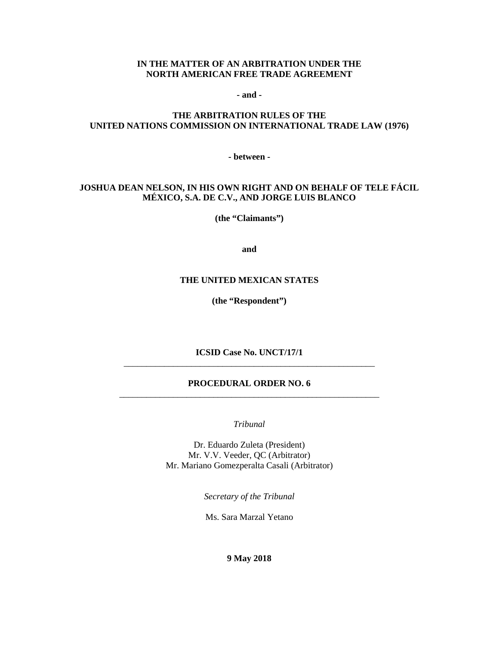#### **IN THE MATTER OF AN ARBITRATION UNDER THE NORTH AMERICAN FREE TRADE AGREEMENT**

**- and -**

#### **THE ARBITRATION RULES OF THE UNITED NATIONS COMMISSION ON INTERNATIONAL TRADE LAW (1976)**

**- between -**

#### **JOSHUA DEAN NELSON, IN HIS OWN RIGHT AND ON BEHALF OF TELE FÁCIL MÉXICO, S.A. DE C.V., AND JORGE LUIS BLANCO**

**(the "Claimants")**

**and**

#### **THE UNITED MEXICAN STATES**

**(the "Respondent")**

**ICSID Case No. UNCT/17/1** \_\_\_\_\_\_\_\_\_\_\_\_\_\_\_\_\_\_\_\_\_\_\_\_\_\_\_\_\_\_\_\_\_\_\_\_\_\_\_\_\_\_\_\_\_\_\_\_\_\_\_\_\_\_\_\_

#### **PROCEDURAL ORDER NO. 6** \_\_\_\_\_\_\_\_\_\_\_\_\_\_\_\_\_\_\_\_\_\_\_\_\_\_\_\_\_\_\_\_\_\_\_\_\_\_\_\_\_\_\_\_\_\_\_\_\_\_\_\_\_\_\_\_\_\_

*Tribunal*

Dr. Eduardo Zuleta (President) Mr. V.V. Veeder, QC (Arbitrator) Mr. Mariano Gomezperalta Casali (Arbitrator)

*Secretary of the Tribunal*

Ms. Sara Marzal Yetano

#### **9 May 2018**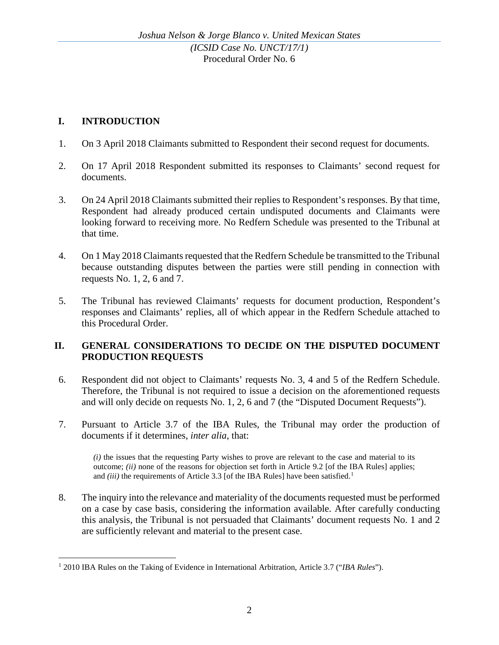# **I. INTRODUCTION**

- 1. On 3 April 2018 Claimants submitted to Respondent their second request for documents.
- 2. On 17 April 2018 Respondent submitted its responses to Claimants' second request for documents.
- 3. On 24 April 2018 Claimants submitted their replies to Respondent's responses. By that time, Respondent had already produced certain undisputed documents and Claimants were looking forward to receiving more. No Redfern Schedule was presented to the Tribunal at that time.
- 4. On 1 May 2018 Claimants requested that the Redfern Schedule be transmitted to the Tribunal because outstanding disputes between the parties were still pending in connection with requests No. 1, 2, 6 and 7.
- 5. The Tribunal has reviewed Claimants' requests for document production, Respondent's responses and Claimants' replies, all of which appear in the Redfern Schedule attached to this Procedural Order.

### **II. GENERAL CONSIDERATIONS TO DECIDE ON THE DISPUTED DOCUMENT PRODUCTION REQUESTS**

- 6. Respondent did not object to Claimants' requests No. 3, 4 and 5 of the Redfern Schedule. Therefore, the Tribunal is not required to issue a decision on the aforementioned requests and will only decide on requests No. 1, 2, 6 and 7 (the "Disputed Document Requests").
- 7. Pursuant to Article 3.7 of the IBA Rules, the Tribunal may order the production of documents if it determines, *inter alia*, that:

*(i)* the issues that the requesting Party wishes to prove are relevant to the case and material to its outcome; *(ii)* none of the reasons for objection set forth in Article 9.2 [of the IBA Rules] applies; and *(iii)* the requirements of Article 3.3 [of the IBA Rules] have been satisfied.<sup>[1](#page-1-0)</sup>

8. The inquiry into the relevance and materiality of the documents requested must be performed on a case by case basis, considering the information available. After carefully conducting this analysis, the Tribunal is not persuaded that Claimants' document requests No. 1 and 2 are sufficiently relevant and material to the present case.

<span id="page-1-0"></span> <sup>1</sup> 2010 IBA Rules on the Taking of Evidence in International Arbitration, Article 3.7 ("*IBA Rules*").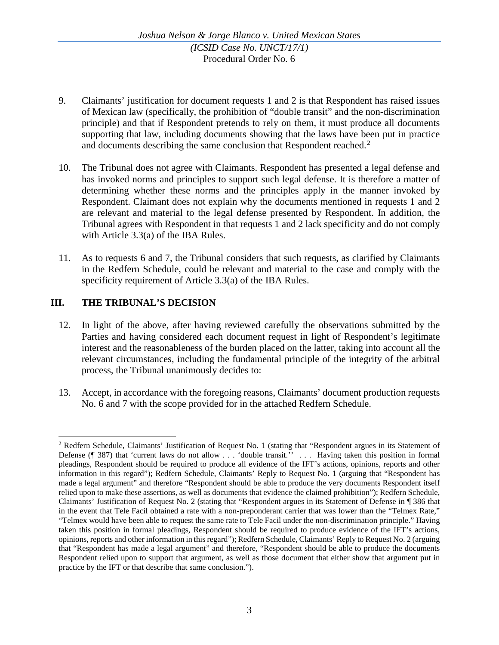- 9. Claimants' justification for document requests 1 and 2 is that Respondent has raised issues of Mexican law (specifically, the prohibition of "double transit" and the non-discrimination principle) and that if Respondent pretends to rely on them, it must produce all documents supporting that law, including documents showing that the laws have been put in practice and documents describing the same conclusion that Respondent reached.<sup>[2](#page-2-0)</sup>
- 10. The Tribunal does not agree with Claimants. Respondent has presented a legal defense and has invoked norms and principles to support such legal defense. It is therefore a matter of determining whether these norms and the principles apply in the manner invoked by Respondent. Claimant does not explain why the documents mentioned in requests 1 and 2 are relevant and material to the legal defense presented by Respondent. In addition, the Tribunal agrees with Respondent in that requests 1 and 2 lack specificity and do not comply with Article 3.3(a) of the IBA Rules.
- 11. As to requests 6 and 7, the Tribunal considers that such requests, as clarified by Claimants in the Redfern Schedule, could be relevant and material to the case and comply with the specificity requirement of Article 3.3(a) of the IBA Rules.

# **III. THE TRIBUNAL'S DECISION**

- 12. In light of the above, after having reviewed carefully the observations submitted by the Parties and having considered each document request in light of Respondent's legitimate interest and the reasonableness of the burden placed on the latter, taking into account all the relevant circumstances, including the fundamental principle of the integrity of the arbitral process, the Tribunal unanimously decides to:
- 13. Accept, in accordance with the foregoing reasons, Claimants' document production requests No. 6 and 7 with the scope provided for in the attached Redfern Schedule.

<span id="page-2-0"></span><sup>&</sup>lt;sup>2</sup> Redfern Schedule, Claimants' Justification of Request No. 1 (stating that "Respondent argues in its Statement of Defense (¶ 387) that 'current laws do not allow . . . 'double transit.'' . . . Having taken this position in formal pleadings, Respondent should be required to produce all evidence of the IFT's actions, opinions, reports and other information in this regard"); Redfern Schedule, Claimants' Reply to Request No. 1 (arguing that "Respondent has made a legal argument" and therefore "Respondent should be able to produce the very documents Respondent itself relied upon to make these assertions, as well as documents that evidence the claimed prohibition"); Redfern Schedule, Claimants' Justification of Request No. 2 (stating that "Respondent argues in its Statement of Defense in ¶ 386 that in the event that Tele Facil obtained a rate with a non-preponderant carrier that was lower than the "Telmex Rate," "Telmex would have been able to request the same rate to Tele Facil under the non-discrimination principle." Having taken this position in formal pleadings, Respondent should be required to produce evidence of the IFT's actions, opinions, reports and other information in this regard"); Redfern Schedule, Claimants' Reply to Request No. 2 (arguing that "Respondent has made a legal argument" and therefore, "Respondent should be able to produce the documents Respondent relied upon to support that argument, as well as those document that either show that argument put in practice by the IFT or that describe that same conclusion.").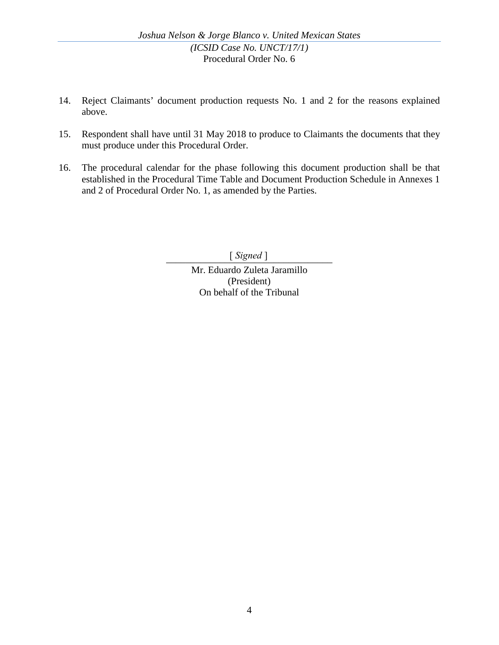- 14. Reject Claimants' document production requests No. 1 and 2 for the reasons explained above.
- 15. Respondent shall have until 31 May 2018 to produce to Claimants the documents that they must produce under this Procedural Order.
- 16. The procedural calendar for the phase following this document production shall be that established in the Procedural Time Table and Document Production Schedule in Annexes 1 and 2 of Procedural Order No. 1, as amended by the Parties.

\_\_\_\_\_\_\_\_\_\_\_\_\_\_\_\_\_\_\_\_\_\_\_\_\_\_\_\_\_\_\_\_\_\_ [ *Signed* ]

Mr. Eduardo Zuleta Jaramillo (President) On behalf of the Tribunal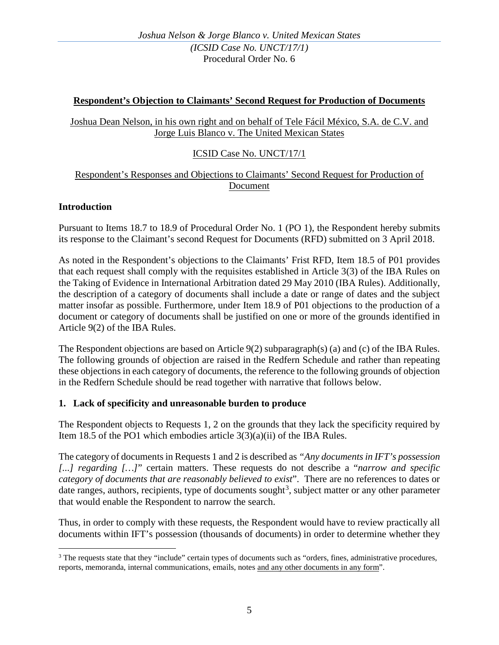### **Respondent's Objection to Claimants' Second Request for Production of Documents**

Joshua Dean Nelson, in his own right and on behalf of Tele Fácil México, S.A. de C.V. and Jorge Luis Blanco v. The United Mexican States

# ICSID Case No. UNCT/17/1

### Respondent's Responses and Objections to Claimants' Second Request for Production of Document

#### **Introduction**

Pursuant to Items 18.7 to 18.9 of Procedural Order No. 1 (PO 1), the Respondent hereby submits its response to the Claimant's second Request for Documents (RFD) submitted on 3 April 2018.

As noted in the Respondent's objections to the Claimants' Frist RFD, Item 18.5 of P01 provides that each request shall comply with the requisites established in Article 3(3) of the IBA Rules on the Taking of Evidence in International Arbitration dated 29 May 2010 (IBA Rules). Additionally, the description of a category of documents shall include a date or range of dates and the subject matter insofar as possible. Furthermore, under Item 18.9 of P01 objections to the production of a document or category of documents shall be justified on one or more of the grounds identified in Article 9(2) of the IBA Rules.

The Respondent objections are based on Article 9(2) subparagraph(s) (a) and (c) of the IBA Rules. The following grounds of objection are raised in the Redfern Schedule and rather than repeating these objections in each category of documents, the reference to the following grounds of objection in the Redfern Schedule should be read together with narrative that follows below.

### **1. Lack of specificity and unreasonable burden to produce**

The Respondent objects to Requests 1, 2 on the grounds that they lack the specificity required by Item 18.5 of the PO1 which embodies article  $3(3)(a)(ii)$  of the IBA Rules.

The category of documents in Requests 1 and 2 is described as *"Any documents in IFT's possession [...] regarding […]*" certain matters. These requests do not describe a "*narrow and specific category of documents that are reasonably believed to exist*". There are no references to dates or date ranges, authors, recipients, type of documents sought<sup>[3](#page-4-0)</sup>, subject matter or any other parameter that would enable the Respondent to narrow the search.

Thus, in order to comply with these requests, the Respondent would have to review practically all documents within IFT's possession (thousands of documents) in order to determine whether they

<span id="page-4-0"></span><sup>&</sup>lt;sup>3</sup> The requests state that they "include" certain types of documents such as "orders, fines, administrative procedures, reports, memoranda, internal communications, emails, notes and any other documents in any form".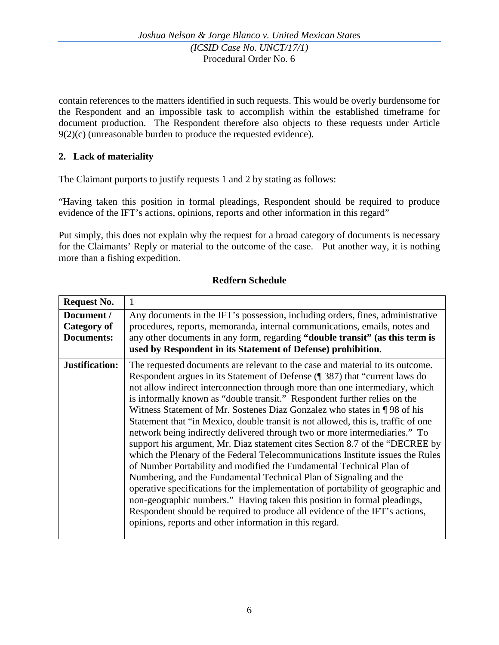contain references to the matters identified in such requests. This would be overly burdensome for the Respondent and an impossible task to accomplish within the established timeframe for document production. The Respondent therefore also objects to these requests under Article 9(2)(c) (unreasonable burden to produce the requested evidence).

# **2. Lack of materiality**

The Claimant purports to justify requests 1 and 2 by stating as follows:

"Having taken this position in formal pleadings, Respondent should be required to produce evidence of the IFT's actions, opinions, reports and other information in this regard"

Put simply, this does not explain why the request for a broad category of documents is necessary for the Claimants' Reply or material to the outcome of the case. Put another way, it is nothing more than a fishing expedition.

### **Redfern Schedule**

| <b>Request No.</b>                             |                                                                                                                                                                                                                                                                                                                                                                                                                                                                                                                                                                                                                                                                                                                                                                                                                                                                                                                                                                                                                                                                                                                                                                                                    |
|------------------------------------------------|----------------------------------------------------------------------------------------------------------------------------------------------------------------------------------------------------------------------------------------------------------------------------------------------------------------------------------------------------------------------------------------------------------------------------------------------------------------------------------------------------------------------------------------------------------------------------------------------------------------------------------------------------------------------------------------------------------------------------------------------------------------------------------------------------------------------------------------------------------------------------------------------------------------------------------------------------------------------------------------------------------------------------------------------------------------------------------------------------------------------------------------------------------------------------------------------------|
| Document /<br>Category of<br><b>Documents:</b> | Any documents in the IFT's possession, including orders, fines, administrative<br>procedures, reports, memoranda, internal communications, emails, notes and<br>any other documents in any form, regarding "double transit" (as this term is<br>used by Respondent in its Statement of Defense) prohibition.                                                                                                                                                                                                                                                                                                                                                                                                                                                                                                                                                                                                                                                                                                                                                                                                                                                                                       |
| Justification:                                 | The requested documents are relevant to the case and material to its outcome.<br>Respondent argues in its Statement of Defense (¶ 387) that "current laws do<br>not allow indirect interconnection through more than one intermediary, which<br>is informally known as "double transit." Respondent further relies on the<br>Witness Statement of Mr. Sostenes Diaz Gonzalez who states in ¶98 of his<br>Statement that "in Mexico, double transit is not allowed, this is, traffic of one<br>network being indirectly delivered through two or more intermediaries." To<br>support his argument, Mr. Diaz statement cites Section 8.7 of the "DECREE by<br>which the Plenary of the Federal Telecommunications Institute issues the Rules<br>of Number Portability and modified the Fundamental Technical Plan of<br>Numbering, and the Fundamental Technical Plan of Signaling and the<br>operative specifications for the implementation of portability of geographic and<br>non-geographic numbers." Having taken this position in formal pleadings,<br>Respondent should be required to produce all evidence of the IFT's actions,<br>opinions, reports and other information in this regard. |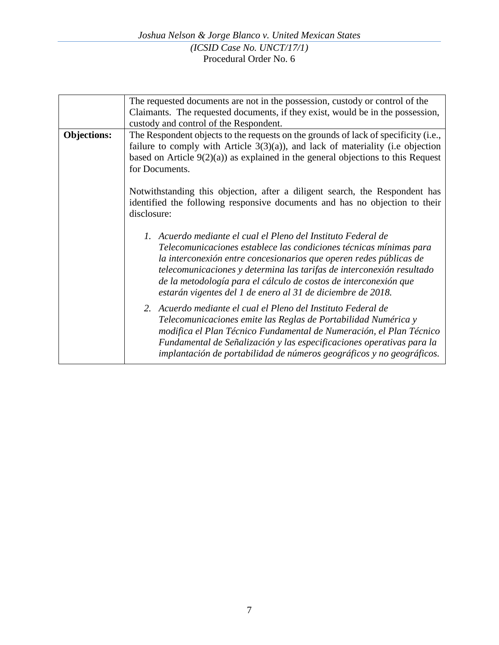|                    | The requested documents are not in the possession, custody or control of the<br>Claimants. The requested documents, if they exist, would be in the possession,<br>custody and control of the Respondent.                                                                                                                                                                                                              |
|--------------------|-----------------------------------------------------------------------------------------------------------------------------------------------------------------------------------------------------------------------------------------------------------------------------------------------------------------------------------------------------------------------------------------------------------------------|
| <b>Objections:</b> | The Respondent objects to the requests on the grounds of lack of specificity (i.e.,<br>failure to comply with Article $3(3)(a)$ , and lack of materiality (i.e objection<br>based on Article $9(2)(a)$ as explained in the general objections to this Request<br>for Documents.                                                                                                                                       |
|                    | Notwithstanding this objection, after a diligent search, the Respondent has<br>identified the following responsive documents and has no objection to their<br>disclosure:                                                                                                                                                                                                                                             |
|                    | 1. Acuerdo mediante el cual el Pleno del Instituto Federal de<br>Telecomunicaciones establece las condiciones técnicas mínimas para<br>la interconexión entre concesionarios que operen redes públicas de<br>telecomunicaciones y determina las tarifas de interconexión resultado<br>de la metodología para el cálculo de costos de interconexión que<br>estarán vigentes del 1 de enero al 31 de diciembre de 2018. |
|                    | 2. Acuerdo mediante el cual el Pleno del Instituto Federal de<br>Telecomunicaciones emite las Reglas de Portabilidad Numérica y<br>modifica el Plan Técnico Fundamental de Numeración, el Plan Técnico<br>Fundamental de Señalización y las especificaciones operativas para la<br>implantación de portabilidad de números geográficos y no geográficos.                                                              |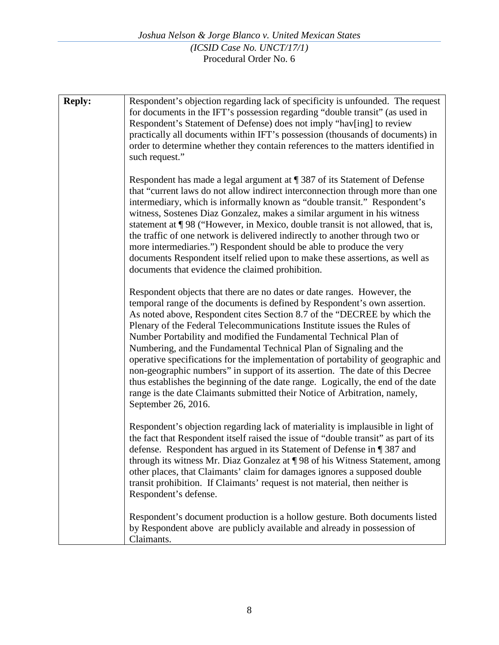| <b>Reply:</b> | Respondent's objection regarding lack of specificity is unfounded. The request<br>for documents in the IFT's possession regarding "double transit" (as used in<br>Respondent's Statement of Defense) does not imply "hav[ing] to review<br>practically all documents within IFT's possession (thousands of documents) in<br>order to determine whether they contain references to the matters identified in<br>such request."                                                                                                                                                                                                                                                                                                                                                                                       |
|---------------|---------------------------------------------------------------------------------------------------------------------------------------------------------------------------------------------------------------------------------------------------------------------------------------------------------------------------------------------------------------------------------------------------------------------------------------------------------------------------------------------------------------------------------------------------------------------------------------------------------------------------------------------------------------------------------------------------------------------------------------------------------------------------------------------------------------------|
|               | Respondent has made a legal argument at ¶ 387 of its Statement of Defense<br>that "current laws do not allow indirect interconnection through more than one<br>intermediary, which is informally known as "double transit." Respondent's<br>witness, Sostenes Diaz Gonzalez, makes a similar argument in his witness<br>statement at ¶98 ("However, in Mexico, double transit is not allowed, that is,<br>the traffic of one network is delivered indirectly to another through two or<br>more intermediaries.") Respondent should be able to produce the very<br>documents Respondent itself relied upon to make these assertions, as well as<br>documents that evidence the claimed prohibition.                                                                                                                  |
|               | Respondent objects that there are no dates or date ranges. However, the<br>temporal range of the documents is defined by Respondent's own assertion.<br>As noted above, Respondent cites Section 8.7 of the "DECREE by which the<br>Plenary of the Federal Telecommunications Institute issues the Rules of<br>Number Portability and modified the Fundamental Technical Plan of<br>Numbering, and the Fundamental Technical Plan of Signaling and the<br>operative specifications for the implementation of portability of geographic and<br>non-geographic numbers" in support of its assertion. The date of this Decree<br>thus establishes the beginning of the date range. Logically, the end of the date<br>range is the date Claimants submitted their Notice of Arbitration, namely,<br>September 26, 2016. |
|               | Respondent's objection regarding lack of materiality is implausible in light of<br>the fact that Respondent itself raised the issue of "double transit" as part of its<br>defense. Respondent has argued in its Statement of Defense in ¶ 387 and<br>through its witness Mr. Diaz Gonzalez at ¶98 of his Witness Statement, among<br>other places, that Claimants' claim for damages ignores a supposed double<br>transit prohibition. If Claimants' request is not material, then neither is<br>Respondent's defense.                                                                                                                                                                                                                                                                                              |
|               | Respondent's document production is a hollow gesture. Both documents listed<br>by Respondent above are publicly available and already in possession of<br>Claimants.                                                                                                                                                                                                                                                                                                                                                                                                                                                                                                                                                                                                                                                |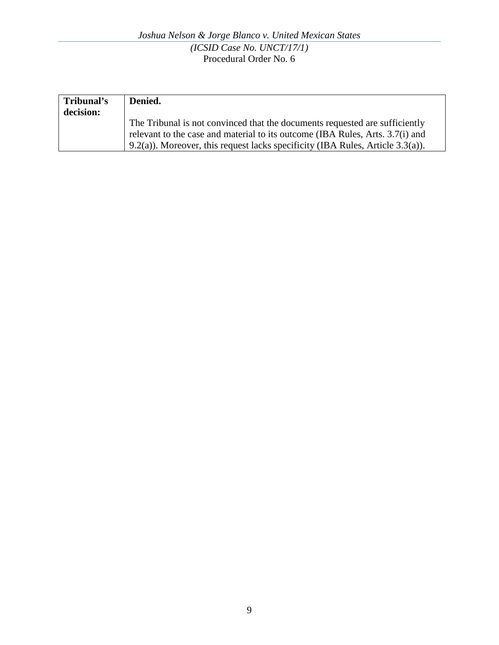| Tribunal's | Denied.                                                                            |
|------------|------------------------------------------------------------------------------------|
| decision:  |                                                                                    |
|            | The Tribunal is not convinced that the documents requested are sufficiently        |
|            | relevant to the case and material to its outcome (IBA Rules, Arts. 3.7(i) and      |
|            | $(9.2(a))$ . Moreover, this request lacks specificity (IBA Rules, Article 3.3(a)). |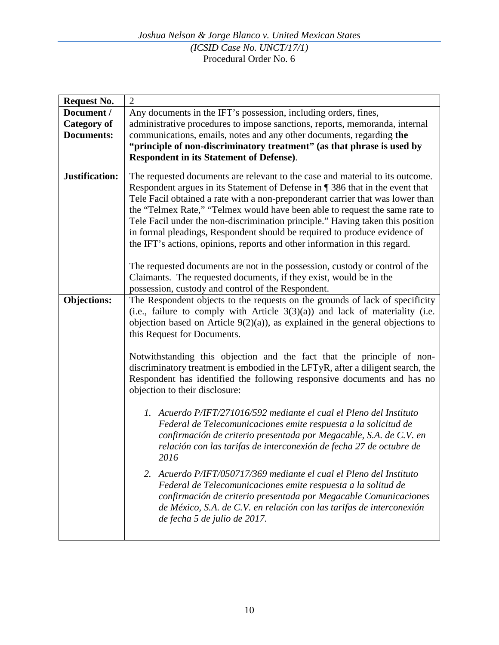| <b>Request No.</b>             | $\overline{2}$                                                                                                                                                |  |
|--------------------------------|---------------------------------------------------------------------------------------------------------------------------------------------------------------|--|
| Document /                     | Any documents in the IFT's possession, including orders, fines,                                                                                               |  |
| <b>Category of</b>             | administrative procedures to impose sanctions, reports, memoranda, internal                                                                                   |  |
| <b>Documents:</b>              | communications, emails, notes and any other documents, regarding the                                                                                          |  |
|                                | "principle of non-discriminatory treatment" (as that phrase is used by                                                                                        |  |
|                                | <b>Respondent in its Statement of Defense).</b>                                                                                                               |  |
|                                |                                                                                                                                                               |  |
| Justification:                 | The requested documents are relevant to the case and material to its outcome.                                                                                 |  |
|                                | Respondent argues in its Statement of Defense in ¶ 386 that in the event that                                                                                 |  |
|                                | Tele Facil obtained a rate with a non-preponderant carrier that was lower than                                                                                |  |
|                                | the "Telmex Rate," "Telmex would have been able to request the same rate to<br>Tele Facil under the non-discrimination principle." Having taken this position |  |
|                                | in formal pleadings, Respondent should be required to produce evidence of                                                                                     |  |
|                                | the IFT's actions, opinions, reports and other information in this regard.                                                                                    |  |
|                                |                                                                                                                                                               |  |
|                                | The requested documents are not in the possession, custody or control of the                                                                                  |  |
|                                | Claimants. The requested documents, if they exist, would be in the                                                                                            |  |
|                                | possession, custody and control of the Respondent.                                                                                                            |  |
| <b>Objections:</b>             | The Respondent objects to the requests on the grounds of lack of specificity                                                                                  |  |
|                                | (i.e., failure to comply with Article $3(3)(a)$ ) and lack of materiality (i.e.                                                                               |  |
|                                | objection based on Article $9(2)(a)$ , as explained in the general objections to                                                                              |  |
|                                | this Request for Documents.                                                                                                                                   |  |
|                                |                                                                                                                                                               |  |
|                                | Notwithstanding this objection and the fact that the principle of non-                                                                                        |  |
|                                | discriminatory treatment is embodied in the LFTyR, after a diligent search, the                                                                               |  |
|                                | Respondent has identified the following responsive documents and has no                                                                                       |  |
| objection to their disclosure: |                                                                                                                                                               |  |
|                                | 1. Acuerdo P/IFT/271016/592 mediante el cual el Pleno del Instituto                                                                                           |  |
|                                | Federal de Telecomunicaciones emite respuesta a la solicitud de                                                                                               |  |
|                                | confirmación de criterio presentada por Megacable, S.A. de C.V. en                                                                                            |  |
|                                | relación con las tarifas de interconexión de fecha 27 de octubre de                                                                                           |  |
|                                | 2016                                                                                                                                                          |  |
|                                |                                                                                                                                                               |  |
|                                | 2. Acuerdo P/IFT/050717/369 mediante el cual el Pleno del Instituto<br>Federal de Telecomunicaciones emite respuesta a la solitud de                          |  |
|                                | confirmación de criterio presentada por Megacable Comunicaciones                                                                                              |  |
|                                | de México, S.A. de C.V. en relación con las tarifas de interconexión                                                                                          |  |
|                                | de fecha 5 de julio de 2017.                                                                                                                                  |  |
|                                |                                                                                                                                                               |  |
|                                |                                                                                                                                                               |  |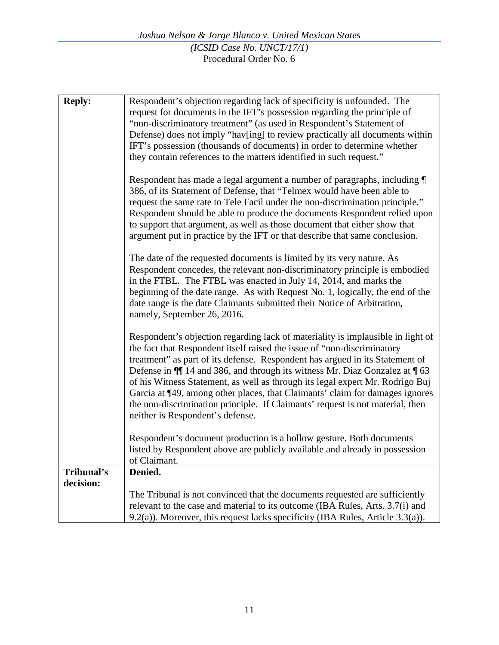| <b>Reply:</b> | Respondent's objection regarding lack of specificity is unfounded. The<br>request for documents in the IFT's possession regarding the principle of<br>"non-discriminatory treatment" (as used in Respondent's Statement of<br>Defense) does not imply "hav[ing] to review practically all documents within<br>IFT's possession (thousands of documents) in order to determine whether<br>they contain references to the matters identified in such request."                                                                                                                                                         |
|---------------|----------------------------------------------------------------------------------------------------------------------------------------------------------------------------------------------------------------------------------------------------------------------------------------------------------------------------------------------------------------------------------------------------------------------------------------------------------------------------------------------------------------------------------------------------------------------------------------------------------------------|
|               | Respondent has made a legal argument a number of paragraphs, including ¶<br>386, of its Statement of Defense, that "Telmex would have been able to<br>request the same rate to Tele Facil under the non-discrimination principle."<br>Respondent should be able to produce the documents Respondent relied upon<br>to support that argument, as well as those document that either show that<br>argument put in practice by the IFT or that describe that same conclusion.                                                                                                                                           |
|               | The date of the requested documents is limited by its very nature. As<br>Respondent concedes, the relevant non-discriminatory principle is embodied<br>in the FTBL. The FTBL was enacted in July 14, 2014, and marks the<br>beginning of the date range. As with Request No. 1, logically, the end of the<br>date range is the date Claimants submitted their Notice of Arbitration,<br>namely, September 26, 2016.                                                                                                                                                                                                  |
|               | Respondent's objection regarding lack of materiality is implausible in light of<br>the fact that Respondent itself raised the issue of "non-discriminatory<br>treatment" as part of its defense. Respondent has argued in its Statement of<br>Defense in $\P$ 14 and 386, and through its witness Mr. Diaz Gonzalez at $\P$ 63<br>of his Witness Statement, as well as through its legal expert Mr. Rodrigo Buj<br>Garcia at ¶49, among other places, that Claimants' claim for damages ignores<br>the non-discrimination principle. If Claimants' request is not material, then<br>neither is Respondent's defense. |
|               | Respondent's document production is a hollow gesture. Both documents<br>listed by Respondent above are publicly available and already in possession<br>of Claimant.                                                                                                                                                                                                                                                                                                                                                                                                                                                  |
| Tribunal's    | Denied.                                                                                                                                                                                                                                                                                                                                                                                                                                                                                                                                                                                                              |
| decision:     |                                                                                                                                                                                                                                                                                                                                                                                                                                                                                                                                                                                                                      |
|               | The Tribunal is not convinced that the documents requested are sufficiently<br>relevant to the case and material to its outcome (IBA Rules, Arts. 3.7(i) and                                                                                                                                                                                                                                                                                                                                                                                                                                                         |
|               | $9.2(a)$ ). Moreover, this request lacks specificity (IBA Rules, Article 3.3(a)).                                                                                                                                                                                                                                                                                                                                                                                                                                                                                                                                    |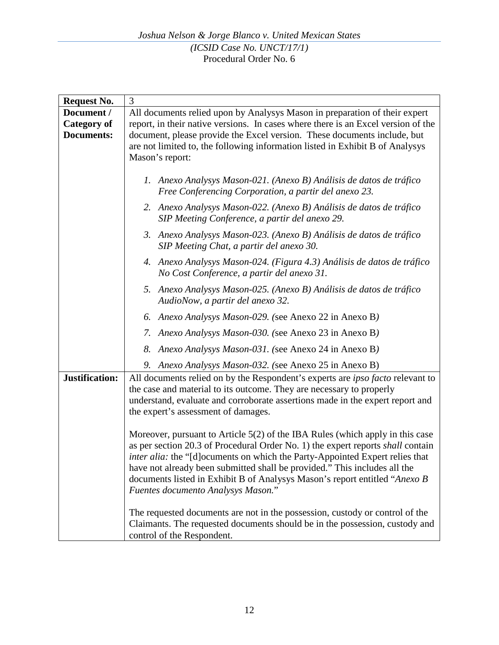| <b>Request No.</b>                      | 3                                                                                                                                                                                                                                                                                                                                                                                                                                                         |
|-----------------------------------------|-----------------------------------------------------------------------------------------------------------------------------------------------------------------------------------------------------------------------------------------------------------------------------------------------------------------------------------------------------------------------------------------------------------------------------------------------------------|
| Document /                              | All documents relied upon by Analysys Mason in preparation of their expert                                                                                                                                                                                                                                                                                                                                                                                |
| <b>Category of</b><br><b>Documents:</b> | report, in their native versions. In cases where there is an Excel version of the<br>document, please provide the Excel version. These documents include, but<br>are not limited to, the following information listed in Exhibit B of Analysys<br>Mason's report:                                                                                                                                                                                         |
|                                         | 1. Anexo Analysys Mason-021. (Anexo B) Análisis de datos de tráfico<br>Free Conferencing Corporation, a partir del anexo 23.                                                                                                                                                                                                                                                                                                                              |
|                                         | 2. Anexo Analysys Mason-022. (Anexo B) Análisis de datos de tráfico<br>SIP Meeting Conference, a partir del anexo 29.                                                                                                                                                                                                                                                                                                                                     |
|                                         | 3. Anexo Analysys Mason-023. (Anexo B) Análisis de datos de tráfico<br>SIP Meeting Chat, a partir del anexo 30.                                                                                                                                                                                                                                                                                                                                           |
|                                         | 4. Anexo Analysys Mason-024. (Figura 4.3) Análisis de datos de tráfico<br>No Cost Conference, a partir del anexo 31.                                                                                                                                                                                                                                                                                                                                      |
|                                         | 5. Anexo Analysys Mason-025. (Anexo B) Análisis de datos de tráfico<br>AudioNow, a partir del anexo 32.                                                                                                                                                                                                                                                                                                                                                   |
|                                         | 6. Anexo Analysys Mason-029. (see Anexo 22 in Anexo B)                                                                                                                                                                                                                                                                                                                                                                                                    |
|                                         | 7. Anexo Analysys Mason-030. (see Anexo 23 in Anexo B)                                                                                                                                                                                                                                                                                                                                                                                                    |
|                                         | 8. Anexo Analysys Mason-031. (see Anexo 24 in Anexo B)                                                                                                                                                                                                                                                                                                                                                                                                    |
|                                         | 9. Anexo Analysys Mason-032. (see Anexo 25 in Anexo B)                                                                                                                                                                                                                                                                                                                                                                                                    |
| Justification:                          | All documents relied on by the Respondent's experts are <i>ipso facto</i> relevant to<br>the case and material to its outcome. They are necessary to properly<br>understand, evaluate and corroborate assertions made in the expert report and<br>the expert's assessment of damages.                                                                                                                                                                     |
|                                         | Moreover, pursuant to Article 5(2) of the IBA Rules (which apply in this case<br>as per section 20.3 of Procedural Order No. 1) the expert reports shall contain<br><i>inter alia:</i> the "[d] ocuments on which the Party-Appointed Expert relies that<br>have not already been submitted shall be provided." This includes all the<br>documents listed in Exhibit B of Analysys Mason's report entitled "Anexo B<br>Fuentes documento Analysys Mason." |
|                                         | The requested documents are not in the possession, custody or control of the<br>Claimants. The requested documents should be in the possession, custody and<br>control of the Respondent.                                                                                                                                                                                                                                                                 |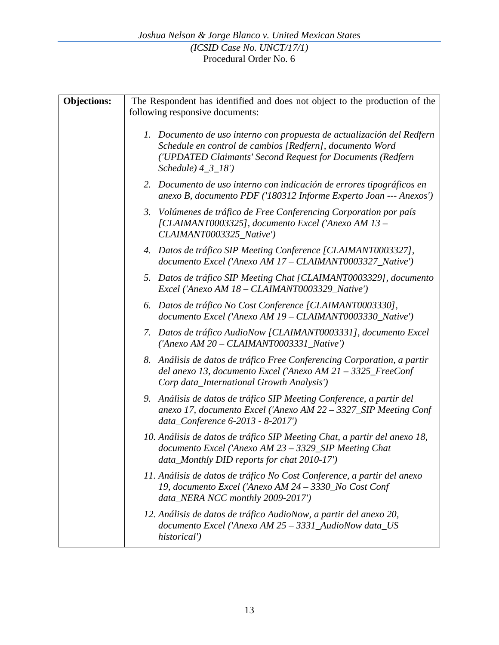| <b>Objections:</b> | The Respondent has identified and does not object to the production of the                                                                                                                                               |
|--------------------|--------------------------------------------------------------------------------------------------------------------------------------------------------------------------------------------------------------------------|
|                    | following responsive documents:                                                                                                                                                                                          |
|                    | 1. Documento de uso interno con propuesta de actualización del Redfern<br>Schedule en control de cambios [Redfern], documento Word<br>('UPDATED Claimants' Second Request for Documents (Redfern<br>$Schedule$ $4_3_18'$ |
|                    | 2. Documento de uso interno con indicación de errores tipográficos en<br>anexo B, documento PDF ('180312 Informe Experto Joan --- Anexos')                                                                               |
|                    | 3. Volúmenes de tráfico de Free Conferencing Corporation por país<br>[CLAIMANT0003325], documento Excel ('Anexo AM 13 -<br>CLAIMANT0003325_Native')                                                                      |
|                    | 4. Datos de tráfico SIP Meeting Conference [CLAIMANT0003327],<br>documento Excel ('Anexo AM 17 - CLAIMANT0003327_Native')                                                                                                |
|                    | 5. Datos de tráfico SIP Meeting Chat [CLAIMANT0003329], documento<br>Excel ('Anexo AM 18 - CLAIMANT0003329_Native')                                                                                                      |
|                    | 6. Datos de tráfico No Cost Conference [CLAIMANT0003330],<br>documento Excel ('Anexo AM 19 - CLAIMANT0003330_Native')                                                                                                    |
|                    | 7. Datos de tráfico AudioNow [CLAIMANT0003331], documento Excel<br>$('Anexo AM 20 - CLAIMANT0003331_Native')$                                                                                                            |
|                    | 8. Análisis de datos de tráfico Free Conferencing Corporation, a partir<br>del anexo 13, documento Excel ('Anexo AM 21 - 3325_FreeConf<br>Corp data_International Growth Analysis')                                      |
|                    | 9. Análisis de datos de tráfico SIP Meeting Conference, a partir del<br>anexo 17, documento Excel ('Anexo AM 22 - 3327_SIP Meeting Conf<br>data_Conference 6-2013 - 8-2017')                                             |
|                    | 10. Análisis de datos de tráfico SIP Meeting Chat, a partir del anexo 18,<br>documento Excel ('Anexo AM 23 - 3329_SIP Meeting Chat<br>data_Monthly DID reports for chat 2010-17')                                        |
|                    | 11. Análisis de datos de tráfico No Cost Conference, a partir del anexo<br>19, documento Excel ('Anexo AM 24 - 3330_No Cost Conf<br>data_NERA NCC monthly 2009-2017')                                                    |
|                    | 12. Análisis de datos de tráfico AudioNow, a partir del anexo 20,<br>documento Excel ('Anexo AM 25 - 3331_AudioNow data_US<br>historical')                                                                               |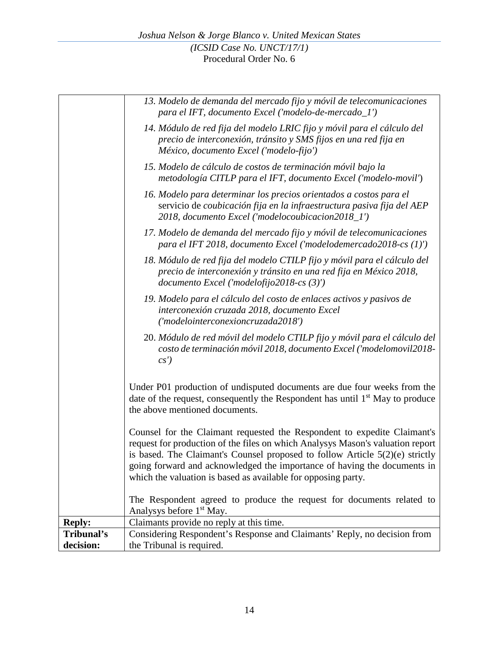|               | 13. Modelo de demanda del mercado fijo y móvil de telecomunicaciones<br>para el IFT, documento Excel ('modelo-de-mercado_l')                                                                                                                                                                                                                                                              |  |
|---------------|-------------------------------------------------------------------------------------------------------------------------------------------------------------------------------------------------------------------------------------------------------------------------------------------------------------------------------------------------------------------------------------------|--|
|               | 14. Módulo de red fija del modelo LRIC fijo y móvil para el cálculo del<br>precio de interconexión, tránsito y SMS fijos en una red fija en<br>México, documento Excel ('modelo-fijo')                                                                                                                                                                                                    |  |
|               | 15. Modelo de cálculo de costos de terminación móvil bajo la<br>metodología CITLP para el IFT, documento Excel ('modelo-movil')                                                                                                                                                                                                                                                           |  |
|               | 16. Modelo para determinar los precios orientados a costos para el<br>servicio de coubicación fija en la infraestructura pasiva fija del AEP<br>2018, documento Excel ('modelocoubicacion2018_1')                                                                                                                                                                                         |  |
|               | 17. Modelo de demanda del mercado fijo y móvil de telecomunicaciones<br>para el IFT 2018, documento Excel ('modelodemercado2018-cs (1)')                                                                                                                                                                                                                                                  |  |
|               | 18. Módulo de red fija del modelo CTILP fijo y móvil para el cálculo del<br>precio de interconexión y tránsito en una red fija en México 2018,<br>documento Excel ('modelofijo2018-cs (3)')                                                                                                                                                                                               |  |
|               | 19. Modelo para el cálculo del costo de enlaces activos y pasivos de<br>interconexión cruzada 2018, documento Excel<br>('modelointerconexioncruzada2018')                                                                                                                                                                                                                                 |  |
|               | 20. Módulo de red móvil del modelo CTILP fijo y móvil para el cálculo del<br>costo de terminación móvil 2018, documento Excel ('modelomovil2018-<br>cs'                                                                                                                                                                                                                                   |  |
|               | Under P01 production of undisputed documents are due four weeks from the<br>date of the request, consequently the Respondent has until 1 <sup>st</sup> May to produce<br>the above mentioned documents.                                                                                                                                                                                   |  |
|               | Counsel for the Claimant requested the Respondent to expedite Claimant's<br>request for production of the files on which Analysys Mason's valuation report<br>is based. The Claimant's Counsel proposed to follow Article $5(2)(e)$ strictly<br>going forward and acknowledged the importance of having the documents in<br>which the valuation is based as available for opposing party. |  |
|               | The Respondent agreed to produce the request for documents related to<br>Analysys before 1 <sup>st</sup> May.                                                                                                                                                                                                                                                                             |  |
| <b>Reply:</b> | Claimants provide no reply at this time.                                                                                                                                                                                                                                                                                                                                                  |  |
| Tribunal's    | Considering Respondent's Response and Claimants' Reply, no decision from                                                                                                                                                                                                                                                                                                                  |  |
| decision:     | the Tribunal is required.                                                                                                                                                                                                                                                                                                                                                                 |  |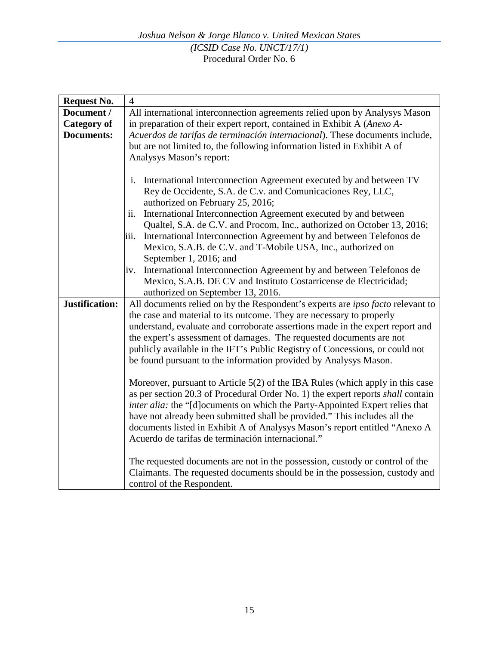| <b>Request No.</b> | $\overline{4}$                                                                                                                                                    |
|--------------------|-------------------------------------------------------------------------------------------------------------------------------------------------------------------|
| Document /         | All international interconnection agreements relied upon by Analysys Mason                                                                                        |
| Category of        | in preparation of their expert report, contained in Exhibit A (Anexo A-                                                                                           |
| <b>Documents:</b>  | Acuerdos de tarifas de terminación internacional). These documents include,                                                                                       |
|                    | but are not limited to, the following information listed in Exhibit A of                                                                                          |
|                    | Analysys Mason's report:                                                                                                                                          |
|                    |                                                                                                                                                                   |
|                    | International Interconnection Agreement executed by and between TV<br>i.                                                                                          |
|                    | Rey de Occidente, S.A. de C.v. and Comunicaciones Rey, LLC,                                                                                                       |
|                    | authorized on February 25, 2016;                                                                                                                                  |
|                    | International Interconnection Agreement executed by and between<br>ii.                                                                                            |
|                    | Qualtel, S.A. de C.V. and Procom, Inc., authorized on October 13, 2016;                                                                                           |
|                    | International Interconnection Agreement by and between Telefonos de<br>iii.                                                                                       |
|                    | Mexico, S.A.B. de C.V. and T-Mobile USA, Inc., authorized on                                                                                                      |
|                    | September 1, 2016; and                                                                                                                                            |
|                    | International Interconnection Agreement by and between Telefonos de<br>iv.                                                                                        |
|                    | Mexico, S.A.B. DE CV and Instituto Costarricense de Electricidad;                                                                                                 |
|                    | authorized on September 13, 2016.                                                                                                                                 |
| Justification:     | All documents relied on by the Respondent's experts are ipso facto relevant to                                                                                    |
|                    | the case and material to its outcome. They are necessary to properly                                                                                              |
|                    | understand, evaluate and corroborate assertions made in the expert report and                                                                                     |
|                    | the expert's assessment of damages. The requested documents are not                                                                                               |
|                    | publicly available in the IFT's Public Registry of Concessions, or could not                                                                                      |
|                    | be found pursuant to the information provided by Analysys Mason.                                                                                                  |
|                    |                                                                                                                                                                   |
|                    | Moreover, pursuant to Article $5(2)$ of the IBA Rules (which apply in this case                                                                                   |
|                    | as per section 20.3 of Procedural Order No. 1) the expert reports shall contain                                                                                   |
|                    | <i>inter alia:</i> the "[d] ocuments on which the Party-Appointed Expert relies that<br>have not already been submitted shall be provided." This includes all the |
|                    | documents listed in Exhibit A of Analysys Mason's report entitled "Anexo A                                                                                        |
|                    | Acuerdo de tarifas de terminación internacional."                                                                                                                 |
|                    |                                                                                                                                                                   |
|                    | The requested documents are not in the possession, custody or control of the                                                                                      |
|                    | Claimants. The requested documents should be in the possession, custody and                                                                                       |
|                    | control of the Respondent.                                                                                                                                        |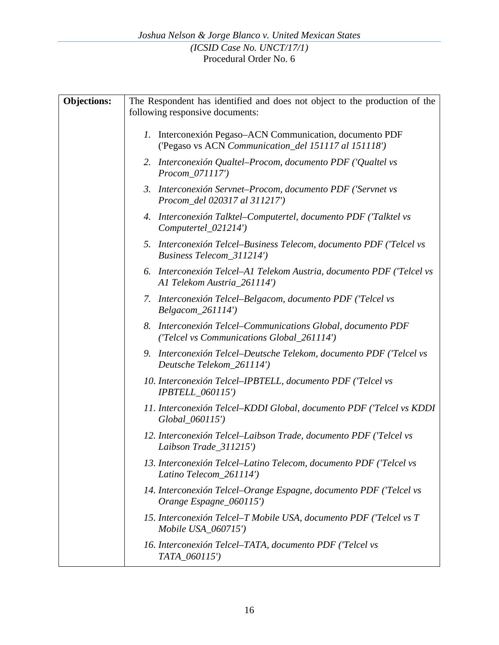| <b>Objections:</b> | The Respondent has identified and does not object to the production of the                                       |
|--------------------|------------------------------------------------------------------------------------------------------------------|
|                    | following responsive documents:                                                                                  |
|                    | 1. Interconexión Pegaso-ACN Communication, documento PDF<br>('Pegaso vs ACN Communication_del 151117 al 151118') |
|                    | 2. Interconexión Qualtel-Procom, documento PDF ('Qualtel vs<br>Procom_071117')                                   |
|                    | 3. Interconexión Servnet-Procom, documento PDF ('Servnet vs<br>Procom_del 020317 al 311217')                     |
|                    | 4. Interconexión Talktel–Computertel, documento PDF ('Talktel vs<br>Computertel_021214')                         |
|                    | 5. Interconexión Telcel-Business Telecom, documento PDF ('Telcel vs<br>Business Telecom 311214')                 |
|                    | 6. Interconexión Telcel-Al Telekom Austria, documento PDF ('Telcel vs<br>A1 Telekom Austria_261114')             |
|                    | 7. Interconexión Telcel–Belgacom, documento PDF ('Telcel vs<br>Belgacom_261114')                                 |
|                    | Interconexión Telcel–Communications Global, documento PDF<br>8.<br>('Telcel vs Communications Global_261114')    |
|                    | 9. Interconexión Telcel-Deutsche Telekom, documento PDF ('Telcel vs<br>Deutsche Telekom_261114')                 |
|                    | 10. Interconexión Telcel-IPBTELL, documento PDF ('Telcel vs<br><b>IPBTELL_060115')</b>                           |
|                    | 11. Interconexión Telcel-KDDI Global, documento PDF ('Telcel vs KDDI<br>Global_060115')                          |
|                    | 12. Interconexión Telcel-Laibson Trade, documento PDF ('Telcel vs<br>Laibson Trade_311215')                      |
|                    | 13. Interconexión Telcel-Latino Telecom, documento PDF ('Telcel vs<br>Latino Telecom_261114')                    |
|                    | 14. Interconexión Telcel–Orange Espagne, documento PDF ('Telcel vs<br>Orange Espagne_060115')                    |
|                    | 15. Interconexión Telcel-T Mobile USA, documento PDF ('Telcel vs T<br>Mobile USA 060715')                        |
|                    | 16. Interconexión Telcel–TATA, documento PDF ('Telcel vs<br>TATA_060115')                                        |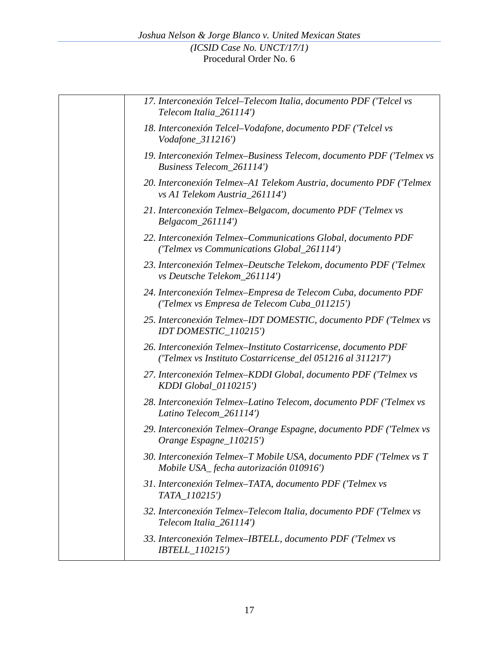| 17. Interconexión Telcel-Telecom Italia, documento PDF ('Telcel vs<br>Telecom Italia_261114')                                 |
|-------------------------------------------------------------------------------------------------------------------------------|
| 18. Interconexión Telcel–Vodafone, documento PDF ('Telcel vs<br>Vodafone_311216')                                             |
| 19. Interconexión Telmex-Business Telecom, documento PDF ('Telmex vs<br>Business Telecom_261114')                             |
| 20. Interconexión Telmex-A1 Telekom Austria, documento PDF ('Telmex<br>vs A1 Telekom Austria_261114')                         |
| 21. Interconexión Telmex-Belgacom, documento PDF ('Telmex vs<br>$Belgacom_261114'$                                            |
| 22. Interconexión Telmex–Communications Global, documento PDF<br>('Telmex vs Communications Global_261114')                   |
| 23. Interconexión Telmex–Deutsche Telekom, documento PDF ('Telmex<br>vs Deutsche Telekom_261114')                             |
| 24. Interconexión Telmex-Empresa de Telecom Cuba, documento PDF<br>('Telmex vs Empresa de Telecom Cuba_011215')               |
| 25. Interconexión Telmex-IDT DOMESTIC, documento PDF ('Telmex vs<br>IDT DOMESTIC_110215')                                     |
| 26. Interconexión Telmex-Instituto Costarricense, documento PDF<br>('Telmex vs Instituto Costarricense_del 051216 al 311217') |
| 27. Interconexión Telmex–KDDI Global, documento PDF ('Telmex vs<br>KDDI Global_0110215')                                      |
| 28. Interconexión Telmex-Latino Telecom, documento PDF ('Telmex vs<br>Latino Telecom_261114')                                 |
| 29. Interconexión Telmex–Orange Espagne, documento PDF ('Telmex vs<br>Orange Espagne_110215')                                 |
| 30. Interconexión Telmex–T Mobile USA, documento PDF ('Telmex vs T<br>Mobile USA_fecha autorización 010916')                  |
| 31. Interconexión Telmex-TATA, documento PDF ('Telmex vs<br>TATA 110215')                                                     |
| 32. Interconexión Telmex–Telecom Italia, documento PDF ('Telmex vs<br>Telecom Italia_261114')                                 |
| 33. Interconexión Telmex-IBTELL, documento PDF ('Telmex vs<br><i>IBTELL_110215'</i> )                                         |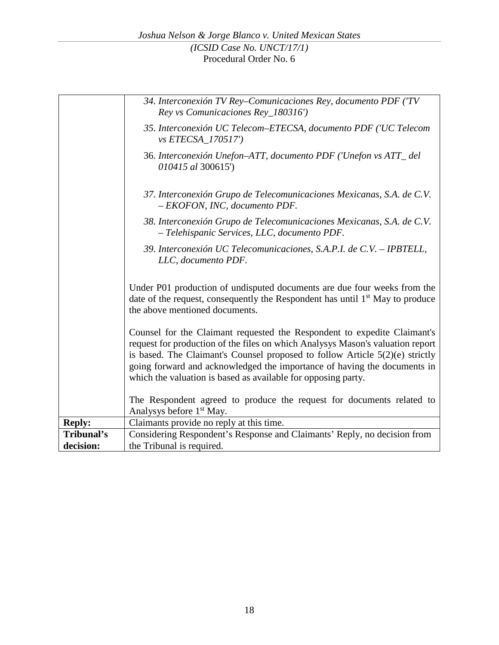|               | 34. Interconexión TV Rey-Comunicaciones Rey, documento PDF ('TV<br>Rey vs Comunicaciones Rey_180316')                                                                                                                                                                                                                                                                                     |
|---------------|-------------------------------------------------------------------------------------------------------------------------------------------------------------------------------------------------------------------------------------------------------------------------------------------------------------------------------------------------------------------------------------------|
|               | 35. Interconexión UC Telecom-ETECSA, documento PDF ('UC Telecom<br><i>vs ETECSA_170517'</i> )                                                                                                                                                                                                                                                                                             |
|               | 36. Interconexión Unefon-ATT, documento PDF ('Unefon vs ATT_del<br>010415 al 300615')                                                                                                                                                                                                                                                                                                     |
|               | 37. Interconexión Grupo de Telecomunicaciones Mexicanas, S.A. de C.V.<br>- EKOFON, INC, documento PDF.                                                                                                                                                                                                                                                                                    |
|               | 38. Interconexión Grupo de Telecomunicaciones Mexicanas, S.A. de C.V.<br>- Telehispanic Services, LLC, documento PDF.                                                                                                                                                                                                                                                                     |
|               | 39. Interconexión UC Telecomunicaciones, S.A.P.I. de C.V. - IPBTELL,<br>LLC, documento PDF.                                                                                                                                                                                                                                                                                               |
|               | Under P01 production of undisputed documents are due four weeks from the<br>date of the request, consequently the Respondent has until 1 <sup>st</sup> May to produce<br>the above mentioned documents.                                                                                                                                                                                   |
|               | Counsel for the Claimant requested the Respondent to expedite Claimant's<br>request for production of the files on which Analysys Mason's valuation report<br>is based. The Claimant's Counsel proposed to follow Article $5(2)(e)$ strictly<br>going forward and acknowledged the importance of having the documents in<br>which the valuation is based as available for opposing party. |
|               | The Respondent agreed to produce the request for documents related to<br>Analysys before 1 <sup>st</sup> May.                                                                                                                                                                                                                                                                             |
| <b>Reply:</b> | Claimants provide no reply at this time.                                                                                                                                                                                                                                                                                                                                                  |
| Tribunal's    | Considering Respondent's Response and Claimants' Reply, no decision from                                                                                                                                                                                                                                                                                                                  |
| decision:     | the Tribunal is required.                                                                                                                                                                                                                                                                                                                                                                 |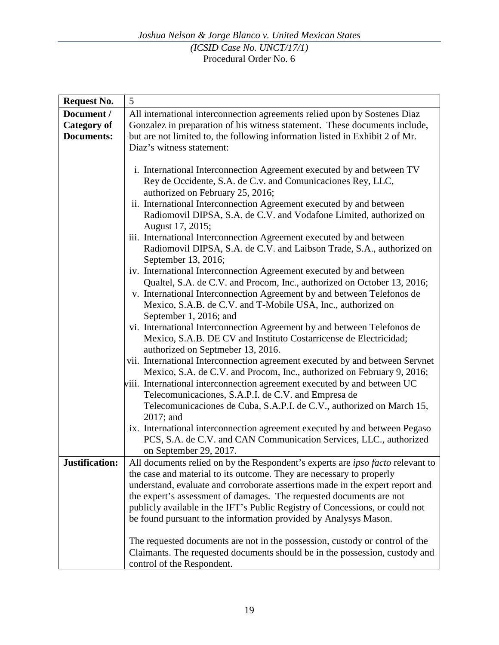| <b>Request No.</b> | 5                                                                              |
|--------------------|--------------------------------------------------------------------------------|
| Document /         | All international interconnection agreements relied upon by Sostenes Diaz      |
| <b>Category of</b> | Gonzalez in preparation of his witness statement. These documents include,     |
| <b>Documents:</b>  | but are not limited to, the following information listed in Exhibit 2 of Mr.   |
|                    | Diaz's witness statement:                                                      |
|                    |                                                                                |
|                    | i. International Interconnection Agreement executed by and between TV          |
|                    | Rey de Occidente, S.A. de C.v. and Comunicaciones Rey, LLC,                    |
|                    | authorized on February 25, 2016;                                               |
|                    | ii. International Interconnection Agreement executed by and between            |
|                    | Radiomovil DIPSA, S.A. de C.V. and Vodafone Limited, authorized on             |
|                    | August 17, 2015;                                                               |
|                    | iii. International Interconnection Agreement executed by and between           |
|                    | Radiomovil DIPSA, S.A. de C.V. and Laibson Trade, S.A., authorized on          |
|                    | September 13, 2016;                                                            |
|                    | iv. International Interconnection Agreement executed by and between            |
|                    | Qualtel, S.A. de C.V. and Procom, Inc., authorized on October 13, 2016;        |
|                    | v. International Interconnection Agreement by and between Telefonos de         |
|                    | Mexico, S.A.B. de C.V. and T-Mobile USA, Inc., authorized on                   |
|                    | September 1, 2016; and                                                         |
|                    | vi. International Interconnection Agreement by and between Telefonos de        |
|                    | Mexico, S.A.B. DE CV and Instituto Costarricense de Electricidad;              |
|                    | authorized on Septmeber 13, 2016.                                              |
|                    | vii. International Interconnection agreement executed by and between Servnet   |
|                    | Mexico, S.A. de C.V. and Procom, Inc., authorized on February 9, 2016;         |
|                    | viii. International interconnection agreement executed by and between UC       |
|                    | Telecomunicaciones, S.A.P.I. de C.V. and Empresa de                            |
|                    | Telecomunicaciones de Cuba, S.A.P.I. de C.V., authorized on March 15,          |
|                    | $2017$ ; and                                                                   |
|                    | ix. International interconnection agreement executed by and between Pegaso     |
|                    | PCS, S.A. de C.V. and CAN Communication Services, LLC., authorized             |
|                    | on September 29, 2017.                                                         |
| Justification:     | All documents relied on by the Respondent's experts are ipso facto relevant to |
|                    | the case and material to its outcome. They are necessary to properly           |
|                    | understand, evaluate and corroborate assertions made in the expert report and  |
|                    | the expert's assessment of damages. The requested documents are not            |
|                    | publicly available in the IFT's Public Registry of Concessions, or could not   |
|                    | be found pursuant to the information provided by Analysys Mason.               |
|                    | The requested documents are not in the possession, custody or control of the   |
|                    | Claimants. The requested documents should be in the possession, custody and    |
|                    | control of the Respondent.                                                     |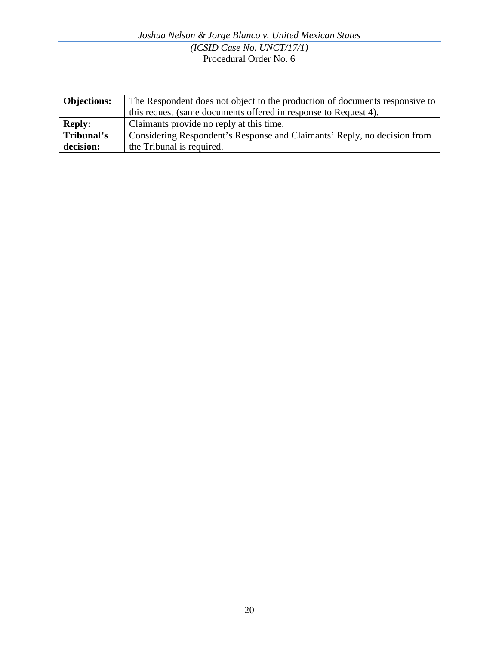*Joshua Nelson & Jorge Blanco v. United Mexican States (ICSID Case No. UNCT/17/1)* Procedural Order No. 6

| <b>Objections:</b> | The Respondent does not object to the production of documents responsive to |
|--------------------|-----------------------------------------------------------------------------|
|                    | this request (same documents offered in response to Request 4).             |
| <b>Reply:</b>      | Claimants provide no reply at this time.                                    |
| Tribunal's         | Considering Respondent's Response and Claimants' Reply, no decision from    |
| decision:          | the Tribunal is required.                                                   |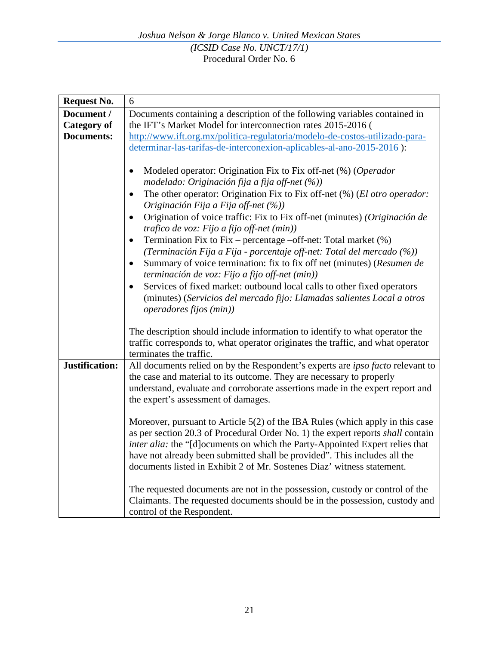| <b>Request No.</b>               | 6                                                                                                                                                                                                                                                                                                                                                                                                                                                                                                                                                                                                                                                                                                                                                                                                                                                                                                              |
|----------------------------------|----------------------------------------------------------------------------------------------------------------------------------------------------------------------------------------------------------------------------------------------------------------------------------------------------------------------------------------------------------------------------------------------------------------------------------------------------------------------------------------------------------------------------------------------------------------------------------------------------------------------------------------------------------------------------------------------------------------------------------------------------------------------------------------------------------------------------------------------------------------------------------------------------------------|
| Document /<br><b>Category of</b> | Documents containing a description of the following variables contained in<br>the IFT's Market Model for interconnection rates 2015-2016 (                                                                                                                                                                                                                                                                                                                                                                                                                                                                                                                                                                                                                                                                                                                                                                     |
| <b>Documents:</b>                |                                                                                                                                                                                                                                                                                                                                                                                                                                                                                                                                                                                                                                                                                                                                                                                                                                                                                                                |
|                                  | http://www.ift.org.mx/politica-regulatoria/modelo-de-costos-utilizado-para-                                                                                                                                                                                                                                                                                                                                                                                                                                                                                                                                                                                                                                                                                                                                                                                                                                    |
|                                  | determinar-las-tarifas-de-interconexion-aplicables-al-ano-2015-2016):                                                                                                                                                                                                                                                                                                                                                                                                                                                                                                                                                                                                                                                                                                                                                                                                                                          |
|                                  | Modeled operator: Origination Fix to Fix off-net (%) (Operador<br>$\bullet$<br>modelado: Originación fija a fija off-net (%))<br>The other operator: Origination Fix to Fix off-net (%) (El otro operador:<br>$\bullet$<br>Originación Fija a Fija off-net (%))<br>Origination of voice traffic: Fix to Fix off-net (minutes) (Originación de<br>$\bullet$<br>trafico de voz: Fijo a fijo off-net (min))<br>Termination Fix to Fix – percentage –off-net: Total market (%)<br>$\bullet$<br>(Terminación Fija a Fija - porcentaje off-net: Total del mercado (%))<br>Summary of voice termination: fix to fix off net (minutes) (Resumen de<br>$\bullet$<br>terminación de voz: Fijo a fijo off-net (min))<br>Services of fixed market: outbound local calls to other fixed operators<br>$\bullet$<br>(minutes) (Servicios del mercado fijo: Llamadas salientes Local a otros<br><i>operadores fijos (min))</i> |
|                                  | The description should include information to identify to what operator the<br>traffic corresponds to, what operator originates the traffic, and what operator<br>terminates the traffic.                                                                                                                                                                                                                                                                                                                                                                                                                                                                                                                                                                                                                                                                                                                      |
| <b>Justification:</b>            | All documents relied on by the Respondent's experts are <i>ipso facto</i> relevant to<br>the case and material to its outcome. They are necessary to properly<br>understand, evaluate and corroborate assertions made in the expert report and<br>the expert's assessment of damages.<br>Moreover, pursuant to Article 5(2) of the IBA Rules (which apply in this case<br>as per section 20.3 of Procedural Order No. 1) the expert reports shall contain<br>inter alia: the "[d] ocuments on which the Party-Appointed Expert relies that<br>have not already been submitted shall be provided". This includes all the<br>documents listed in Exhibit 2 of Mr. Sostenes Diaz' witness statement.<br>The requested documents are not in the possession, custody or control of the<br>Claimants. The requested documents should be in the possession, custody and<br>control of the Respondent.                 |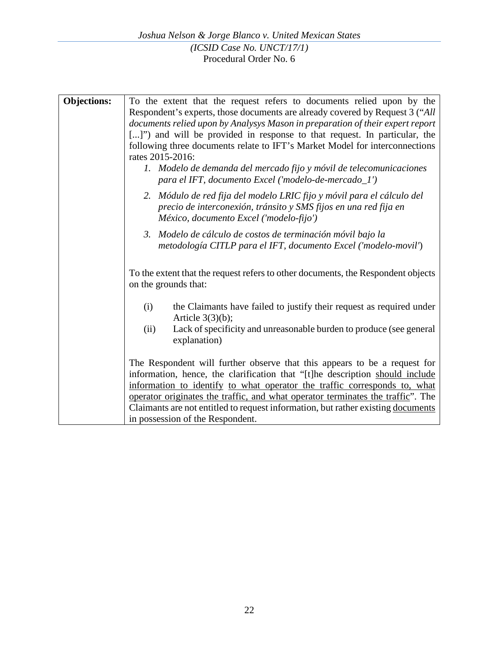| <b>Objections:</b> |                                                                                  |
|--------------------|----------------------------------------------------------------------------------|
|                    | To the extent that the request refers to documents relied upon by the            |
|                    | Respondent's experts, those documents are already covered by Request 3 ("All     |
|                    | documents relied upon by Analysys Mason in preparation of their expert report    |
|                    | []") and will be provided in response to that request. In particular, the        |
|                    | following three documents relate to IFT's Market Model for interconnections      |
|                    | rates 2015-2016:                                                                 |
|                    | 1. Modelo de demanda del mercado fijo y móvil de telecomunicaciones              |
|                    | para el IFT, documento Excel ('modelo-de-mercado_l')                             |
|                    |                                                                                  |
|                    | 2. Módulo de red fija del modelo LRIC fijo y móvil para el cálculo del           |
|                    | precio de interconexión, tránsito y SMS fijos en una red fija en                 |
|                    | México, documento Excel ('modelo-fijo')                                          |
|                    | 3. Modelo de cálculo de costos de terminación móvil bajo la                      |
|                    | metodología CITLP para el IFT, documento Excel ('modelo-movil')                  |
|                    |                                                                                  |
|                    |                                                                                  |
|                    | To the extent that the request refers to other documents, the Respondent objects |
|                    | on the grounds that:                                                             |
|                    |                                                                                  |
|                    | the Claimants have failed to justify their request as required under<br>(i)      |
|                    | Article $3(3)(b)$ ;                                                              |
|                    | Lack of specificity and unreasonable burden to produce (see general<br>(ii)      |
|                    | explanation)                                                                     |
|                    |                                                                                  |
|                    | The Respondent will further observe that this appears to be a request for        |
|                    | information, hence, the clarification that "[t]he description should include     |
|                    | information to identify to what operator the traffic corresponds to, what        |
|                    | operator originates the traffic, and what operator terminates the traffic". The  |
|                    | Claimants are not entitled to request information, but rather existing documents |
|                    |                                                                                  |
|                    | in possession of the Respondent.                                                 |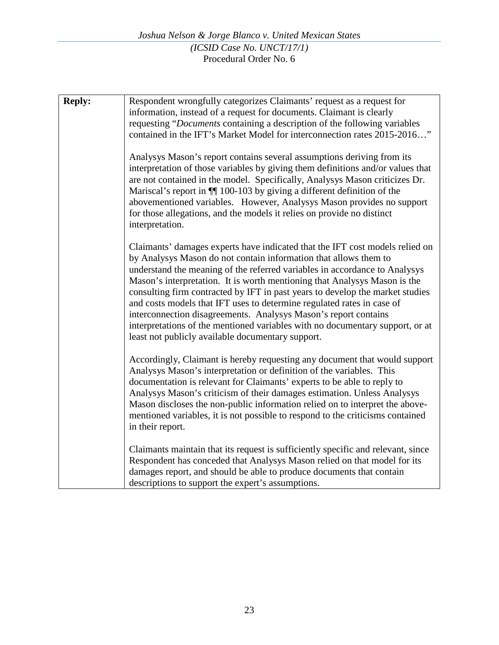| <b>Reply:</b> | Respondent wrongfully categorizes Claimants' request as a request for<br>information, instead of a request for documents. Claimant is clearly<br>requesting "Documents containing a description of the following variables<br>contained in the IFT's Market Model for interconnection rates 2015-2016"                                                                                                                                                                                                                                                                                                                                                                          |
|---------------|---------------------------------------------------------------------------------------------------------------------------------------------------------------------------------------------------------------------------------------------------------------------------------------------------------------------------------------------------------------------------------------------------------------------------------------------------------------------------------------------------------------------------------------------------------------------------------------------------------------------------------------------------------------------------------|
|               | Analysys Mason's report contains several assumptions deriving from its<br>interpretation of those variables by giving them definitions and/or values that<br>are not contained in the model. Specifically, Analysys Mason criticizes Dr.<br>Mariscal's report in $\P$ 100-103 by giving a different definition of the<br>abovementioned variables. However, Analysys Mason provides no support<br>for those allegations, and the models it relies on provide no distinct<br>interpretation.                                                                                                                                                                                     |
|               | Claimants' damages experts have indicated that the IFT cost models relied on<br>by Analysys Mason do not contain information that allows them to<br>understand the meaning of the referred variables in accordance to Analysys<br>Mason's interpretation. It is worth mentioning that Analysys Mason is the<br>consulting firm contracted by IFT in past years to develop the market studies<br>and costs models that IFT uses to determine regulated rates in case of<br>interconnection disagreements. Analysys Mason's report contains<br>interpretations of the mentioned variables with no documentary support, or at<br>least not publicly available documentary support. |
|               | Accordingly, Claimant is hereby requesting any document that would support<br>Analysys Mason's interpretation or definition of the variables. This<br>documentation is relevant for Claimants' experts to be able to reply to<br>Analysys Mason's criticism of their damages estimation. Unless Analysys<br>Mason discloses the non-public information relied on to interpret the above-<br>mentioned variables, it is not possible to respond to the criticisms contained<br>in their report.                                                                                                                                                                                  |
|               | Claimants maintain that its request is sufficiently specific and relevant, since<br>Respondent has conceded that Analysys Mason relied on that model for its<br>damages report, and should be able to produce documents that contain<br>descriptions to support the expert's assumptions.                                                                                                                                                                                                                                                                                                                                                                                       |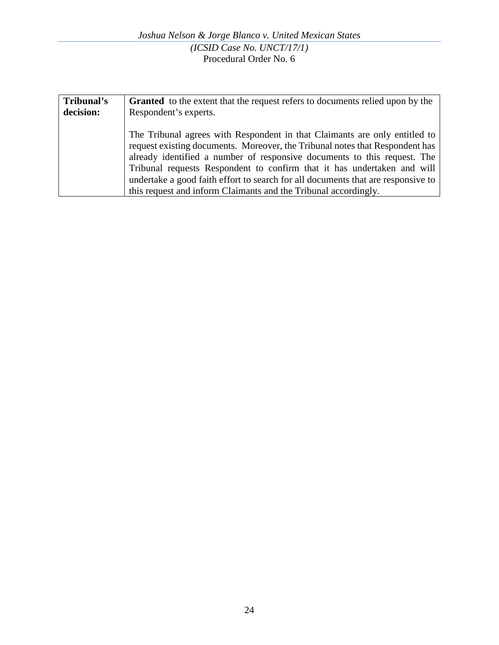| Tribunal's | <b>Granted</b> to the extent that the request refers to documents relied upon by the                                                                                                                                                                                                                                                                                                                                                                                     |
|------------|--------------------------------------------------------------------------------------------------------------------------------------------------------------------------------------------------------------------------------------------------------------------------------------------------------------------------------------------------------------------------------------------------------------------------------------------------------------------------|
| decision:  | Respondent's experts.                                                                                                                                                                                                                                                                                                                                                                                                                                                    |
|            | The Tribunal agrees with Respondent in that Claimants are only entitled to<br>request existing documents. Moreover, the Tribunal notes that Respondent has<br>already identified a number of responsive documents to this request. The<br>Tribunal requests Respondent to confirm that it has undertaken and will<br>undertake a good faith effort to search for all documents that are responsive to<br>this request and inform Claimants and the Tribunal accordingly. |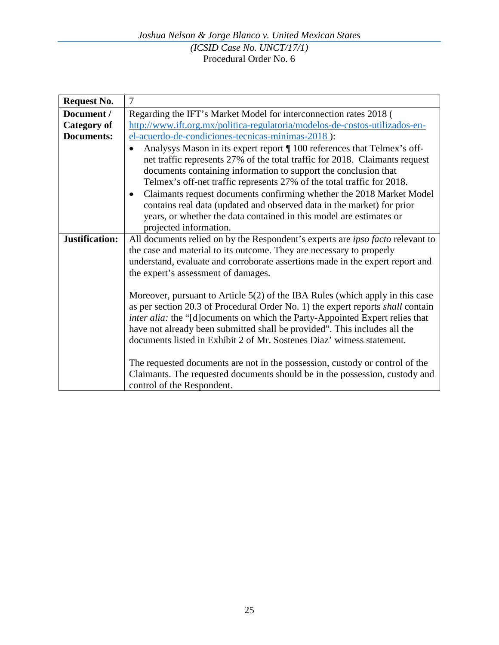| <b>Request No.</b>    | 7                                                                                                                                                                                                                                                                                                                                                                                                                                                                                                                                                                                                                                                                                                                                                                                                                                                                                                     |
|-----------------------|-------------------------------------------------------------------------------------------------------------------------------------------------------------------------------------------------------------------------------------------------------------------------------------------------------------------------------------------------------------------------------------------------------------------------------------------------------------------------------------------------------------------------------------------------------------------------------------------------------------------------------------------------------------------------------------------------------------------------------------------------------------------------------------------------------------------------------------------------------------------------------------------------------|
| Document /            | Regarding the IFT's Market Model for interconnection rates 2018 (                                                                                                                                                                                                                                                                                                                                                                                                                                                                                                                                                                                                                                                                                                                                                                                                                                     |
| <b>Category of</b>    | http://www.ift.org.mx/politica-regulatoria/modelos-de-costos-utilizados-en-                                                                                                                                                                                                                                                                                                                                                                                                                                                                                                                                                                                                                                                                                                                                                                                                                           |
| <b>Documents:</b>     | el-acuerdo-de-condiciones-tecnicas-minimas-2018):                                                                                                                                                                                                                                                                                                                                                                                                                                                                                                                                                                                                                                                                                                                                                                                                                                                     |
|                       | Analysys Mason in its expert report ¶ 100 references that Telmex's off-<br>net traffic represents 27% of the total traffic for 2018. Claimants request<br>documents containing information to support the conclusion that<br>Telmex's off-net traffic represents 27% of the total traffic for 2018.<br>Claimants request documents confirming whether the 2018 Market Model<br>$\bullet$<br>contains real data (updated and observed data in the market) for prior<br>years, or whether the data contained in this model are estimates or<br>projected information.                                                                                                                                                                                                                                                                                                                                   |
| <b>Justification:</b> | All documents relied on by the Respondent's experts are <i>ipso facto</i> relevant to<br>the case and material to its outcome. They are necessary to properly<br>understand, evaluate and corroborate assertions made in the expert report and<br>the expert's assessment of damages.<br>Moreover, pursuant to Article 5(2) of the IBA Rules (which apply in this case<br>as per section 20.3 of Procedural Order No. 1) the expert reports <i>shall</i> contain<br>inter alia: the "[d] ocuments on which the Party-Appointed Expert relies that<br>have not already been submitted shall be provided". This includes all the<br>documents listed in Exhibit 2 of Mr. Sostenes Diaz' witness statement.<br>The requested documents are not in the possession, custody or control of the<br>Claimants. The requested documents should be in the possession, custody and<br>control of the Respondent. |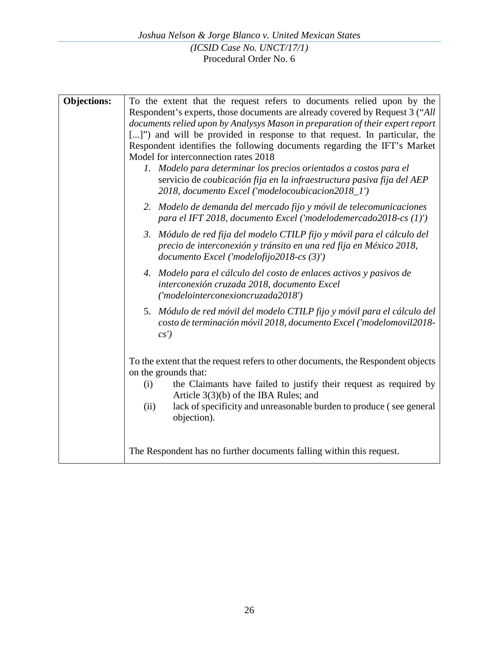| <b>Objections:</b> | To the extent that the request refers to documents relied upon by the<br>Respondent's experts, those documents are already covered by Request 3 ("All<br>documents relied upon by Analysys Mason in preparation of their expert report<br>[]") and will be provided in response to that request. In particular, the<br>Respondent identifies the following documents regarding the IFT's Market<br>Model for interconnection rates 2018<br>1. Modelo para determinar los precios orientados a costos para el |
|--------------------|--------------------------------------------------------------------------------------------------------------------------------------------------------------------------------------------------------------------------------------------------------------------------------------------------------------------------------------------------------------------------------------------------------------------------------------------------------------------------------------------------------------|
|                    | servicio de coubicación fija en la infraestructura pasiva fija del AEP<br>2018, documento Excel ('modelocoubicacion2018_1')<br>2. Modelo de demanda del mercado fijo y móvil de telecomunicaciones<br>para el IFT 2018, documento Excel ('modelodemercado2018-cs (1)')                                                                                                                                                                                                                                       |
|                    | 3. Módulo de red fija del modelo CTILP fijo y móvil para el cálculo del<br>precio de interconexión y tránsito en una red fija en México 2018,<br>documento Excel ('modelofijo2018-cs (3)')                                                                                                                                                                                                                                                                                                                   |
|                    | 4. Modelo para el cálculo del costo de enlaces activos y pasivos de<br>interconexión cruzada 2018, documento Excel<br>('modelointerconexioncruzada2018')                                                                                                                                                                                                                                                                                                                                                     |
|                    | 5. Módulo de red móvil del modelo CTILP fijo y móvil para el cálculo del<br>costo de terminación móvil 2018, documento Excel ('modelomovil2018-<br>cs'                                                                                                                                                                                                                                                                                                                                                       |
|                    | To the extent that the request refers to other documents, the Respondent objects<br>on the grounds that:<br>the Claimants have failed to justify their request as required by<br>(i)<br>Article $3(3)(b)$ of the IBA Rules; and<br>lack of specificity and unreasonable burden to produce (see general<br>(ii)<br>objection).                                                                                                                                                                                |
|                    | The Respondent has no further documents falling within this request.                                                                                                                                                                                                                                                                                                                                                                                                                                         |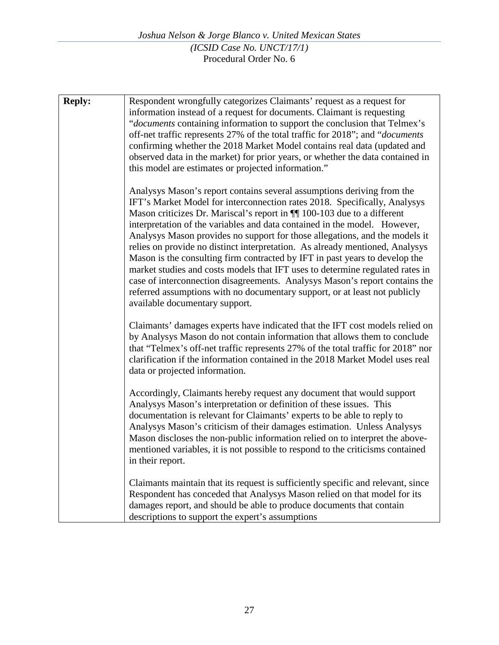| <b>Reply:</b> | Respondent wrongfully categorizes Claimants' request as a request for<br>information instead of a request for documents. Claimant is requesting<br>"documents containing information to support the conclusion that Telmex's<br>off-net traffic represents 27% of the total traffic for 2018"; and "documents"<br>confirming whether the 2018 Market Model contains real data (updated and<br>observed data in the market) for prior years, or whether the data contained in<br>this model are estimates or projected information."                                                                                                                                                                                                                                                                                                         |
|---------------|---------------------------------------------------------------------------------------------------------------------------------------------------------------------------------------------------------------------------------------------------------------------------------------------------------------------------------------------------------------------------------------------------------------------------------------------------------------------------------------------------------------------------------------------------------------------------------------------------------------------------------------------------------------------------------------------------------------------------------------------------------------------------------------------------------------------------------------------|
|               | Analysys Mason's report contains several assumptions deriving from the<br>IFT's Market Model for interconnection rates 2018. Specifically, Analysys<br>Mason criticizes Dr. Mariscal's report in $\P$ 100-103 due to a different<br>interpretation of the variables and data contained in the model. However,<br>Analysys Mason provides no support for those allegations, and the models it<br>relies on provide no distinct interpretation. As already mentioned, Analysys<br>Mason is the consulting firm contracted by IFT in past years to develop the<br>market studies and costs models that IFT uses to determine regulated rates in<br>case of interconnection disagreements. Analysys Mason's report contains the<br>referred assumptions with no documentary support, or at least not publicly<br>available documentary support. |
|               | Claimants' damages experts have indicated that the IFT cost models relied on<br>by Analysys Mason do not contain information that allows them to conclude<br>that "Telmex's off-net traffic represents 27% of the total traffic for 2018" nor<br>clarification if the information contained in the 2018 Market Model uses real<br>data or projected information.                                                                                                                                                                                                                                                                                                                                                                                                                                                                            |
|               | Accordingly, Claimants hereby request any document that would support<br>Analysys Mason's interpretation or definition of these issues. This<br>documentation is relevant for Claimants' experts to be able to reply to<br>Analysys Mason's criticism of their damages estimation. Unless Analysys<br>Mason discloses the non-public information relied on to interpret the above-<br>mentioned variables, it is not possible to respond to the criticisms contained<br>in their report.                                                                                                                                                                                                                                                                                                                                                    |
|               | Claimants maintain that its request is sufficiently specific and relevant, since<br>Respondent has conceded that Analysys Mason relied on that model for its<br>damages report, and should be able to produce documents that contain<br>descriptions to support the expert's assumptions                                                                                                                                                                                                                                                                                                                                                                                                                                                                                                                                                    |